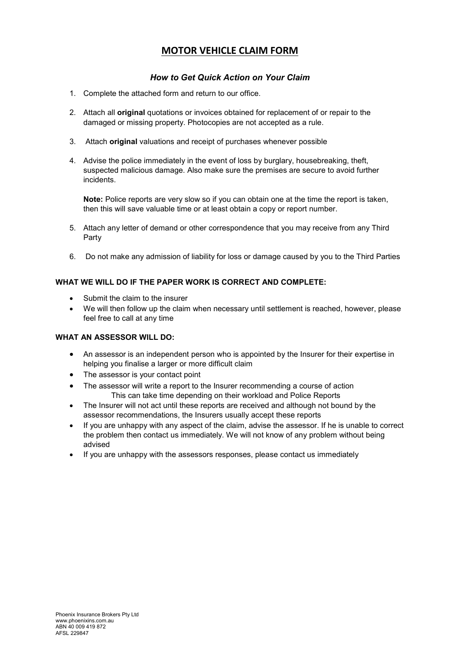# **MOTOR VEHICLE CLAIM FORM**

## *How to Get Quick Action on Your Claim*

- 1. Complete the attached form and return to our office.
- 2. Attach all **original** quotations or invoices obtained for replacement of or repair to the damaged or missing property. Photocopies are not accepted as a rule.
- 3. Attach **original** valuations and receipt of purchases whenever possible
- 4. Advise the police immediately in the event of loss by burglary, housebreaking, theft, suspected malicious damage. Also make sure the premises are secure to avoid further incidents.

**Note:** Police reports are very slow so if you can obtain one at the time the report is taken, then this will save valuable time or at least obtain a copy or report number.

- 5. Attach any letter of demand or other correspondence that you may receive from any Third Party
- 6. Do not make any admission of liability for loss or damage caused by you to the Third Parties

## **WHAT WE WILL DO IF THE PAPER WORK IS CORRECT AND COMPLETE:**

- Submit the claim to the insurer
- We will then follow up the claim when necessary until settlement is reached, however, please feel free to call at any time

### **WHAT AN ASSESSOR WILL DO:**

- An assessor is an independent person who is appointed by the Insurer for their expertise in helping you finalise a larger or more difficult claim
- The assessor is your contact point
- The assessor will write a report to the Insurer recommending a course of action This can take time depending on their workload and Police Reports
- The Insurer will not act until these reports are received and although not bound by the assessor recommendations, the Insurers usually accept these reports
- If you are unhappy with any aspect of the claim, advise the assessor. If he is unable to correct the problem then contact us immediately. We will not know of any problem without being advised
- If you are unhappy with the assessors responses, please contact us immediately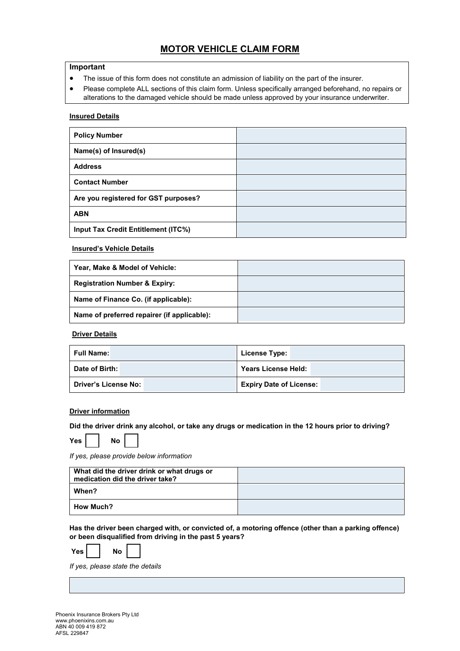# **MOTOR VEHICLE CLAIM FORM**

#### **Important**

- The issue of this form does not constitute an admission of liability on the part of the insurer.
- Please complete ALL sections of this claim form. Unless specifically arranged beforehand, no repairs or alterations to the damaged vehicle should be made unless approved by your insurance underwriter.

#### **Insured Details**

| <b>Policy Number</b>                 |  |
|--------------------------------------|--|
| Name(s) of Insured(s)                |  |
| <b>Address</b>                       |  |
| <b>Contact Number</b>                |  |
| Are you registered for GST purposes? |  |
| <b>ABN</b>                           |  |
| Input Tax Credit Entitlement (ITC%)  |  |

#### **Insured's Vehicle Details**

| Year, Make & Model of Vehicle:              |  |
|---------------------------------------------|--|
| <b>Registration Number &amp; Expiry:</b>    |  |
| Name of Finance Co. (if applicable):        |  |
| Name of preferred repairer (if applicable): |  |

#### **Driver Details**

| l Full Name: I         | <b>License Type:</b>           |
|------------------------|--------------------------------|
| Date of Birth:         | Years License Held:            |
| ∣ Driver's License No: | <b>Expiry Date of License:</b> |

#### **Driver information**

**Did the driver drink any alcohol, or take any drugs or medication in the 12 hours prior to driving?** 

| Yes |  | Nο |
|-----|--|----|
|-----|--|----|

*If yes, please provide below information*

| What did the driver drink or what drugs or<br>medication did the driver take? |  |
|-------------------------------------------------------------------------------|--|
| When?                                                                         |  |
| <b>How Much?</b>                                                              |  |

**Has the driver been charged with, or convicted of, a motoring offence (other than a parking offence) or been disqualified from driving in the past 5 years?** 

| Yes l<br>Nο |  |
|-------------|--|
|-------------|--|

*If yes, please state the details*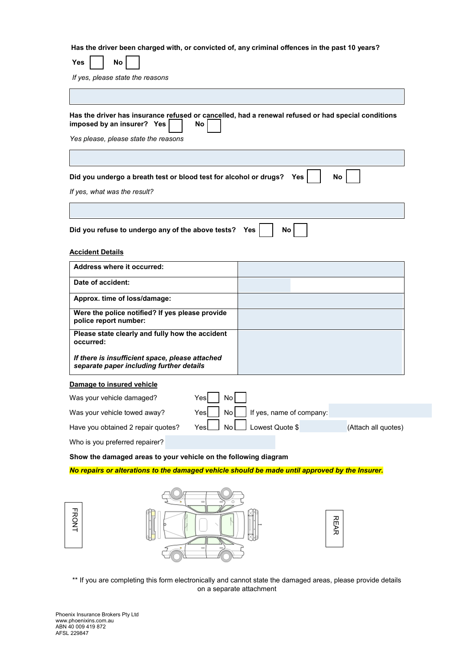**Has the driver been charged with, or convicted of, any criminal offences in the past 10 years?**

| No<br>Yes                                                                                                                                                                |            |                 |                          |                     |
|--------------------------------------------------------------------------------------------------------------------------------------------------------------------------|------------|-----------------|--------------------------|---------------------|
| If yes, please state the reasons                                                                                                                                         |            |                 |                          |                     |
|                                                                                                                                                                          |            |                 |                          |                     |
| Has the driver has insurance refused or cancelled, had a renewal refused or had special conditions<br>imposed by an insurer? Yes<br>Yes please, please state the reasons | No         |                 |                          |                     |
| Did you undergo a breath test or blood test for alcohol or drugs?<br>If yes, what was the result?                                                                        |            |                 | Yes                      | No                  |
|                                                                                                                                                                          |            |                 |                          |                     |
| Did you refuse to undergo any of the above tests?                                                                                                                        |            | Yes             | No                       |                     |
| <b>Accident Details</b>                                                                                                                                                  |            |                 |                          |                     |
| <b>Address where it occurred:</b>                                                                                                                                        |            |                 |                          |                     |
| Date of accident:                                                                                                                                                        |            |                 |                          |                     |
| Approx. time of loss/damage:                                                                                                                                             |            |                 |                          |                     |
| Were the police notified? If yes please provide<br>police report number:                                                                                                 |            |                 |                          |                     |
| Please state clearly and fully how the accident<br>occurred:                                                                                                             |            |                 |                          |                     |
| If there is insufficient space, please attached<br>separate paper including further details                                                                              |            |                 |                          |                     |
| Damage to insured vehicle                                                                                                                                                |            |                 |                          |                     |
| Was your vehicle damaged?                                                                                                                                                | Yes<br>No  |                 |                          |                     |
| Was your vehicle towed away?                                                                                                                                             | Yes<br>No  |                 | If yes, name of company: |                     |
| Have you obtained 2 repair quotes?                                                                                                                                       | No.<br>Yes | Lowest Quote \$ |                          | (Attach all quotes) |
| Who is you preferred repairer?                                                                                                                                           |            |                 |                          |                     |

**Show the damaged areas to your vehicle on the following diagram**

*No repairs or alterations to the damaged vehicle should be made until approved by the Insurer.*





\*\* If you are completing this form electronically and cannot state the damaged areas, please provide details on a separate attachment